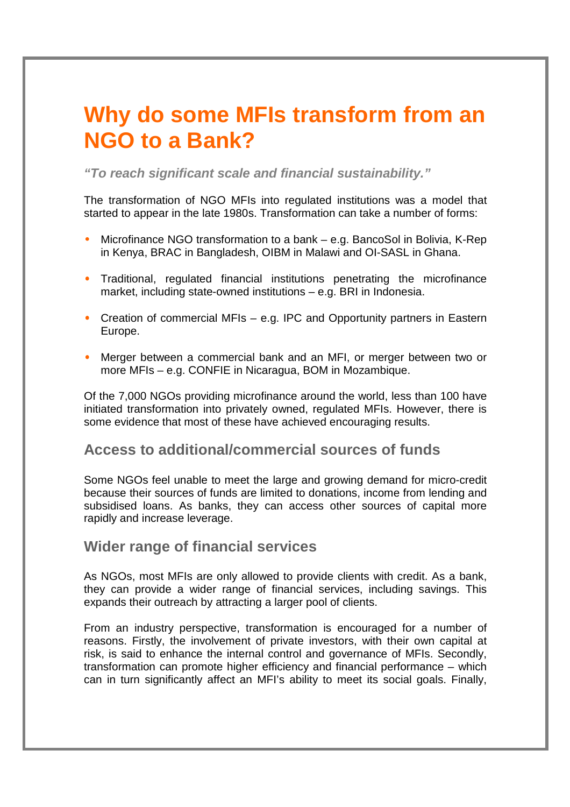## **Why do some MFIs transform from an NGO to a Bank?**

**"To reach significant scale and financial sustainability."** 

The transformation of NGO MFIs into regulated institutions was a model that started to appear in the late 1980s. Transformation can take a number of forms:

- Microfinance NGO transformation to a bank e.g. BancoSol in Bolivia, K-Rep in Kenya, BRAC in Bangladesh, OIBM in Malawi and OI-SASL in Ghana.
- Traditional, regulated financial institutions penetrating the microfinance market, including state-owned institutions – e.g. BRI in Indonesia.
- Creation of commercial MFIs e.g. IPC and Opportunity partners in Eastern Europe.
- Merger between a commercial bank and an MFI, or merger between two or more MFIs – e.g. CONFIE in Nicaragua, BOM in Mozambique.

Of the 7,000 NGOs providing microfinance around the world, less than 100 have initiated transformation into privately owned, regulated MFIs. However, there is some evidence that most of these have achieved encouraging results.

## **Access to additional/commercial sources of funds**

Some NGOs feel unable to meet the large and growing demand for micro-credit because their sources of funds are limited to donations, income from lending and subsidised loans. As banks, they can access other sources of capital more rapidly and increase leverage.

## **Wider range of financial services**

As NGOs, most MFIs are only allowed to provide clients with credit. As a bank, they can provide a wider range of financial services, including savings. This expands their outreach by attracting a larger pool of clients.

From an industry perspective, transformation is encouraged for a number of reasons. Firstly, the involvement of private investors, with their own capital at risk, is said to enhance the internal control and governance of MFIs. Secondly, transformation can promote higher efficiency and financial performance – which can in turn significantly affect an MFI's ability to meet its social goals. Finally,